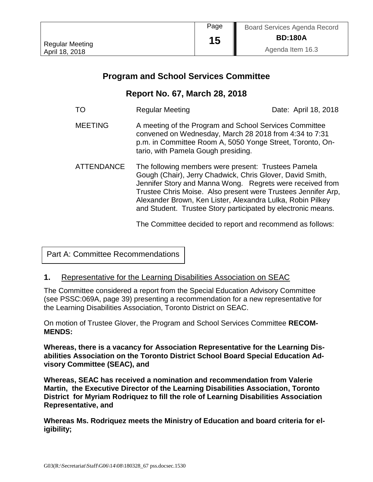|                        | Page | <b>Board Services Agenda Record</b> |
|------------------------|------|-------------------------------------|
| <b>Regular Meeting</b> | 15   | <b>BD:180A</b>                      |
| April 18, 2018         |      | Agenda Item 16.3                    |

# **Program and School Services Committee**

## **Report No. 67, March 28, 2018**

| TΟ                | <b>Regular Meeting</b>                                                                                                                                                                                                                                                                                                                                                       | Date: April 18, 2018 |
|-------------------|------------------------------------------------------------------------------------------------------------------------------------------------------------------------------------------------------------------------------------------------------------------------------------------------------------------------------------------------------------------------------|----------------------|
| <b>MEETING</b>    | A meeting of the Program and School Services Committee<br>convened on Wednesday, March 28 2018 from 4:34 to 7:31<br>p.m. in Committee Room A, 5050 Yonge Street, Toronto, On-<br>tario, with Pamela Gough presiding.                                                                                                                                                         |                      |
| <b>ATTENDANCE</b> | The following members were present: Trustees Pamela<br>Gough (Chair), Jerry Chadwick, Chris Glover, David Smith,<br>Jennifer Story and Manna Wong. Regrets were received from<br>Trustee Chris Moise. Also present were Trustees Jennifer Arp,<br>Alexander Brown, Ken Lister, Alexandra Lulka, Robin Pilkey<br>and Student. Trustee Story participated by electronic means. |                      |

The Committee decided to report and recommend as follows:

Part A: Committee Recommendations

#### **1.** Representative for the Learning Disabilities Association on SEAC

The Committee considered a report from the Special Education Advisory Committee (see PSSC:069A, page 39) presenting a recommendation for a new representative for the Learning Disabilities Association, Toronto District on SEAC.

On motion of Trustee Glover, the Program and School Services Committee **RECOM-MENDS:**

**Whereas, there is a vacancy for Association Representative for the Learning Disabilities Association on the Toronto District School Board Special Education Advisory Committee (SEAC), and**

**Whereas, SEAC has received a nomination and recommendation from Valerie Martin, the Executive Director of the Learning Disabilities Association, Toronto District for Myriam Rodriquez to fill the role of Learning Disabilities Association Representative, and** 

**Whereas Ms. Rodriquez meets the Ministry of Education and board criteria for eligibility;**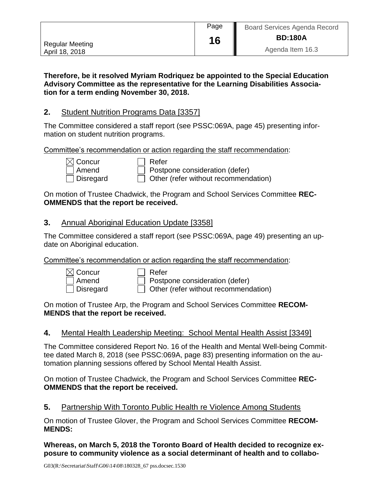|                 | Page | <b>Board Services Agenda Record</b> |
|-----------------|------|-------------------------------------|
| Regular Meeting | 16   | <b>BD:180A</b>                      |
| April 18, 2018  |      | Agenda Item 16.3                    |

**Therefore, be it resolved Myriam Rodriquez be appointed to the Special Education Advisory Committee as the representative for the Learning Disabilities Association for a term ending November 30, 2018.**

## **2.** Student Nutrition Programs Data [3357]

The Committee considered a staff report (see PSSC:069A, page 45) presenting information on student nutrition programs.

Committee's recommendation or action regarding the staff recommendation:

| $\boxtimes$ Concur |
|--------------------|
| $\Box$ Amend       |
| l Disregar         |

]Refer Postpone consideration (defer)  $\Box$  Disregard  $\Box$  Other (refer without recommendation)

On motion of Trustee Chadwick, the Program and School Services Committee **REC-OMMENDS that the report be received.**

#### **3.** Annual Aboriginal Education Update [3358]

The Committee considered a staff report (see PSSC:069A, page 49) presenting an update on Aboriginal education.

Committee's recommendation or action regarding the staff recommendation:

| $[$ Concur         |  |
|--------------------|--|
| Amend              |  |
| <b>J</b> Disregard |  |

Refer  $\Box$  Postpone consideration (defer)

 $\Box$  Other (refer without recommendation)

On motion of Trustee Arp, the Program and School Services Committee **RECOM-MENDS that the report be received.**

## **4.** Mental Health Leadership Meeting: School Mental Health Assist [3349]

The Committee considered Report No. 16 of the Health and Mental Well-being Committee dated March 8, 2018 (see PSSC:069A, page 83) presenting information on the automation planning sessions offered by School Mental Health Assist.

On motion of Trustee Chadwick, the Program and School Services Committee **REC-OMMENDS that the report be received.**

## **5.** Partnership With Toronto Public Health re Violence Among Students

On motion of Trustee Glover, the Program and School Services Committee **RECOM-MENDS:**

**Whereas, on March 5, 2018 the Toronto Board of Health decided to recognize exposure to community violence as a social determinant of health and to collabo-**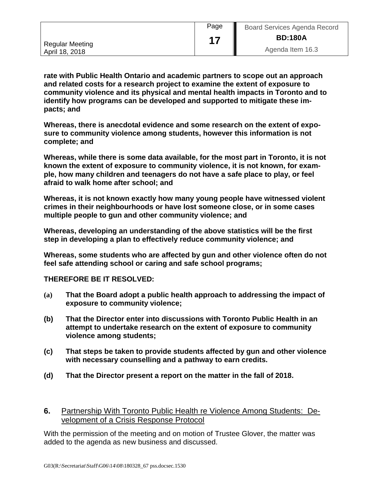|                 | Page | <b>Board Services Agenda Record</b> |  |
|-----------------|------|-------------------------------------|--|
| Regular Meeting |      | <b>BD:180A</b>                      |  |
| April 18, 2018  |      | Agenda Item 16.3                    |  |

**rate with Public Health Ontario and academic partners to scope out an approach and related costs for a research project to examine the extent of exposure to community violence and its physical and mental health impacts in Toronto and to identify how programs can be developed and supported to mitigate these impacts; and**

**Whereas, there is anecdotal evidence and some research on the extent of exposure to community violence among students, however this information is not complete; and**

**Whereas, while there is some data available, for the most part in Toronto, it is not known the extent of exposure to community violence, it is not known, for example, how many children and teenagers do not have a safe place to play, or feel afraid to walk home after school; and**

**Whereas, it is not known exactly how many young people have witnessed violent crimes in their neighbourhoods or have lost someone close, or in some cases multiple people to gun and other community violence; and**

**Whereas, developing an understanding of the above statistics will be the first step in developing a plan to effectively reduce community violence; and**

**Whereas, some students who are affected by gun and other violence often do not feel safe attending school or caring and safe school programs;**

**THEREFORE BE IT RESOLVED:**

- **(a) That the Board adopt a public health approach to addressing the impact of exposure to community violence;**
- **(b) That the Director enter into discussions with Toronto Public Health in an attempt to undertake research on the extent of exposure to community violence among students;**
- **(c) That steps be taken to provide students affected by gun and other violence with necessary counselling and a pathway to earn credits.**
- **(d) That the Director present a report on the matter in the fall of 2018.**
- **6.** Partnership With Toronto Public Health re Violence Among Students: Development of a Crisis Response Protocol

With the permission of the meeting and on motion of Trustee Glover, the matter was added to the agenda as new business and discussed.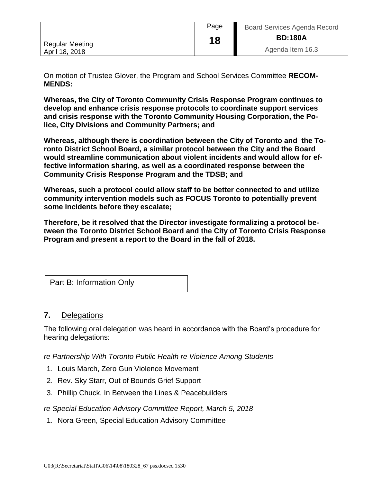|                        | Page | <b>Board Services Agenda Record</b> |  |
|------------------------|------|-------------------------------------|--|
| <b>Regular Meeting</b> | 18   | <b>BD:180A</b>                      |  |
| April 18, 2018         |      | Agenda Item 16.3                    |  |

On motion of Trustee Glover, the Program and School Services Committee **RECOM-MENDS:**

**Whereas, the City of Toronto Community Crisis Response Program continues to develop and enhance crisis response protocols to coordinate support services and crisis response with the Toronto Community Housing Corporation, the Police, City Divisions and Community Partners; and** 

**Whereas, although there is coordination between the City of Toronto and the Toronto District School Board, a similar protocol between the City and the Board would streamline communication about violent incidents and would allow for effective information sharing, as well as a coordinated response between the Community Crisis Response Program and the TDSB; and**

**Whereas, such a protocol could allow staff to be better connected to and utilize community intervention models such as FOCUS Toronto to potentially prevent some incidents before they escalate;**

**Therefore, be it resolved that the Director investigate formalizing a protocol between the Toronto District School Board and the City of Toronto Crisis Response Program and present a report to the Board in the fall of 2018.**

Part B: Information Only

#### **7.** Delegations

The following oral delegation was heard in accordance with the Board's procedure for hearing delegations:

*re Partnership With Toronto Public Health re Violence Among Students*

- 1. Louis March, Zero Gun Violence Movement
- 2. Rev. Sky Starr, Out of Bounds Grief Support
- 3. Phillip Chuck, In Between the Lines & Peacebuilders

*re Special Education Advisory Committee Report, March 5, 2018*

1. Nora Green, Special Education Advisory Committee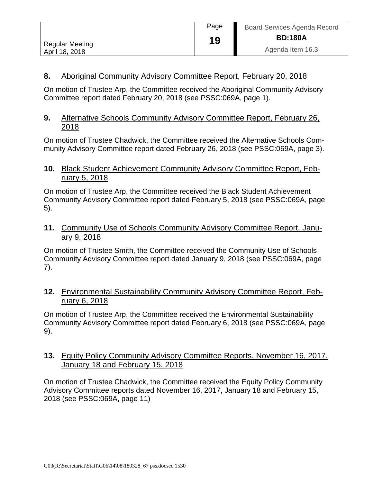|                        | Page | <b>Board Services Agenda Record</b> |
|------------------------|------|-------------------------------------|
| <b>Regular Meeting</b> | 19   | <b>BD:180A</b>                      |
| April 18, 2018         |      | Agenda Item 16.3                    |

## **8.** Aboriginal Community Advisory Committee Report, February 20, 2018

On motion of Trustee Arp, the Committee received the Aboriginal Community Advisory Committee report dated February 20, 2018 (see PSSC:069A, page 1).

#### **9.** Alternative Schools Community Advisory Committee Report, February 26, 2018

On motion of Trustee Chadwick, the Committee received the Alternative Schools Community Advisory Committee report dated February 26, 2018 (see PSSC:069A, page 3).

#### **10.** Black Student Achievement Community Advisory Committee Report, February 5, 2018

On motion of Trustee Arp, the Committee received the Black Student Achievement Community Advisory Committee report dated February 5, 2018 (see PSSC:069A, page 5).

## **11.** Community Use of Schools Community Advisory Committee Report, January 9, 2018

On motion of Trustee Smith, the Committee received the Community Use of Schools Community Advisory Committee report dated January 9, 2018 (see PSSC:069A, page 7).

#### **12.** Environmental Sustainability Community Advisory Committee Report, February 6, 2018

On motion of Trustee Arp, the Committee received the Environmental Sustainability Community Advisory Committee report dated February 6, 2018 (see PSSC:069A, page 9).

## **13.** Equity Policy Community Advisory Committee Reports, November 16, 2017, January 18 and February 15, 2018

On motion of Trustee Chadwick, the Committee received the Equity Policy Community Advisory Committee reports dated November 16, 2017, January 18 and February 15, 2018 (see PSSC:069A, page 11)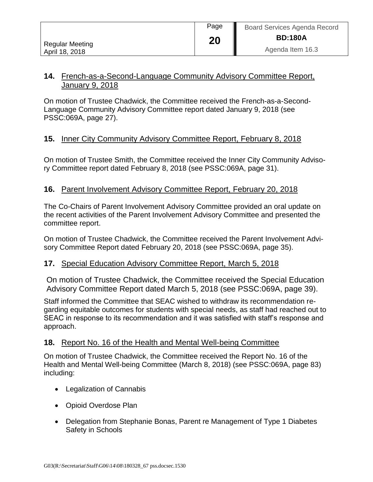|                        | Page | Ш<br><b>Board Services Agenda Record</b> |
|------------------------|------|------------------------------------------|
| <b>Regular Meeting</b> | 20   | <b>BD:180A</b>                           |
| April 18, 2018         |      | Agenda Item 16.3                         |

#### **14.** French-as-a-Second-Language Community Advisory Committee Report, January 9, 2018

On motion of Trustee Chadwick, the Committee received the French-as-a-Second-Language Community Advisory Committee report dated January 9, 2018 (see PSSC:069A, page 27).

## **15.** Inner City Community Advisory Committee Report, February 8, 2018

On motion of Trustee Smith, the Committee received the Inner City Community Advisory Committee report dated February 8, 2018 (see PSSC:069A, page 31).

#### **16.** Parent Involvement Advisory Committee Report, February 20, 2018

The Co-Chairs of Parent Involvement Advisory Committee provided an oral update on the recent activities of the Parent Involvement Advisory Committee and presented the committee report.

On motion of Trustee Chadwick, the Committee received the Parent Involvement Advisory Committee Report dated February 20, 2018 (see PSSC:069A, page 35).

#### **17.** Special Education Advisory Committee Report, March 5, 2018

On motion of Trustee Chadwick, the Committee received the Special Education Advisory Committee Report dated March 5, 2018 (see PSSC:069A, page 39).

Staff informed the Committee that SEAC wished to withdraw its recommendation regarding equitable outcomes for students with special needs, as staff had reached out to SEAC in response to its recommendation and it was satisfied with staff's response and approach.

#### **18.** Report No. 16 of the Health and Mental Well-being Committee

On motion of Trustee Chadwick, the Committee received the Report No. 16 of the Health and Mental Well-being Committee (March 8, 2018) (see PSSC:069A, page 83) including:

- Legalization of Cannabis
- Opioid Overdose Plan
- Delegation from Stephanie Bonas, Parent re Management of Type 1 Diabetes Safety in Schools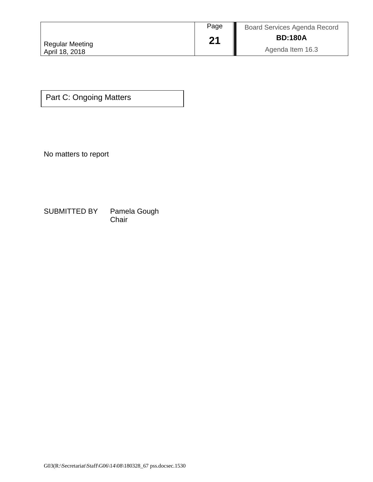|                                          | Page | <b>Board Services Agenda Record</b> |
|------------------------------------------|------|-------------------------------------|
|                                          | 21   | <b>BD:180A</b>                      |
| <b>Regular Meeting</b><br>April 18, 2018 |      | Agenda Item 16.3                    |

Part C: Ongoing Matters

No matters to report

SUBMITTED BY Pamela Gough<br>Chair